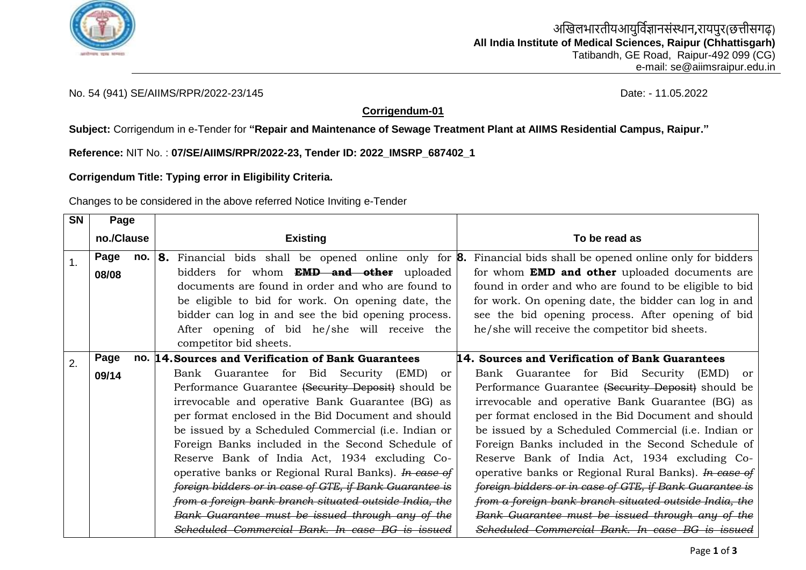

## No. 54 (941) SE/AIIMS/RPR/2022-23/145 Date: - 11.05.2022

## **Corrigendum-01**

**Subject:** Corrigendum in e-Tender for **"Repair and Maintenance of Sewage Treatment Plant at AIIMS Residential Campus, Raipur."**

**Reference:** NIT No. : **07/SE/AIIMS/RPR/2022-23, Tender ID: 2022\_IMSRP\_687402\_1**

**Corrigendum Title: Typing error in Eligibility Criteria.**

Changes to be considered in the above referred Notice Inviting e-Tender

| <b>SN</b> | Page       |                                                                        |                                                         |
|-----------|------------|------------------------------------------------------------------------|---------------------------------------------------------|
|           | no./Clause | <b>Existing</b>                                                        | To be read as                                           |
| 1.        | Page       | <b>no. 8.</b> Financial bids shall be opened online only for <b>8.</b> | Financial bids shall be opened online only for bidders  |
|           | 08/08      | bidders for whom <b>EMD and other</b> uploaded                         | for whom <b>EMD and other</b> uploaded documents are    |
|           |            | documents are found in order and who are found to                      | found in order and who are found to be eligible to bid  |
|           |            | be eligible to bid for work. On opening date, the                      | for work. On opening date, the bidder can log in and    |
|           |            | bidder can log in and see the bid opening process.                     | see the bid opening process. After opening of bid       |
|           |            | After opening of bid he/she will receive the                           | he/she will receive the competitor bid sheets.          |
|           |            | competitor bid sheets.                                                 |                                                         |
| 2.        | Page       | no. 14. Sources and Verification of Bank Guarantees                    | 14. Sources and Verification of Bank Guarantees         |
|           | 09/14      | Bank Guarantee for Bid Security<br>(EMD)<br><sub>or</sub>              | Bank Guarantee for Bid Security (EMD)<br><sub>or</sub>  |
|           |            | Performance Guarantee (Security Deposit) should be                     | Performance Guarantee (Security Deposit) should be      |
|           |            | irrevocable and operative Bank Guarantee (BG) as                       | irrevocable and operative Bank Guarantee (BG) as        |
|           |            | per format enclosed in the Bid Document and should                     | per format enclosed in the Bid Document and should      |
|           |            | be issued by a Scheduled Commercial (i.e. Indian or                    | be issued by a Scheduled Commercial (i.e. Indian or     |
|           |            | Foreign Banks included in the Second Schedule of                       | Foreign Banks included in the Second Schedule of        |
|           |            | Reserve Bank of India Act, 1934 excluding Co-                          | Reserve Bank of India Act, 1934 excluding Co-           |
|           |            | operative banks or Regional Rural Banks). <i>In case of</i>            | operative banks or Regional Rural Banks). In ease of    |
|           |            | foreign bidders or in case of GTE, if Bank Guarantee is                | foreign bidders or in case of GTE, if Bank Guarantee is |
|           |            | from a foreign bank branch situated outside India, the                 | from a foreign bank branch situated outside India, the  |
|           |            | Bank Guarantee must be issued through any of the                       | Bank Guarantee must be issued through any of the        |
|           |            | Scheduled Commercial Bank. In case BG is issued                        | Scheduled Commercial Bank. In case BG is issued         |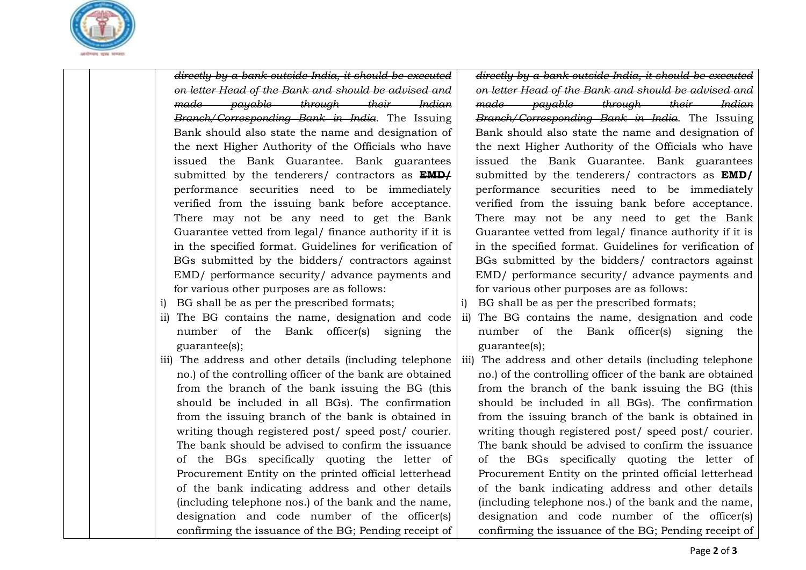

*directly by a bank outside India, it should be executed on letter Head of the Bank and should be advised and made payable through their Indian Branch/Corresponding Bank in India*. The Issuing Bank should also state the name and designation of the next Higher Authority of the Officials who have issued the Bank Guarantee. Bank guarantees submitted by the tenderers/ contractors as **EMD/** performance securities need to be immediately verified from the issuing bank before acceptance. There may not be any need to get the Bank Guarantee vetted from legal/ finance authority if it is in the specified format. Guidelines for verification of BGs submitted by the bidders/ contractors against EMD/ performance security/ advance payments and for various other purposes are as follows:

- i) BG shall be as per the prescribed formats;
- ii) The BG contains the name, designation and code number of the Bank officer(s) signing the guarantee(s);
- iii) The address and other details (including telephone no.) of the controlling officer of the bank are obtained from the branch of the bank issuing the BG (this should be included in all BGs). The confirmation from the issuing branch of the bank is obtained in writing though registered post/ speed post/ courier. The bank should be advised to confirm the issuance of the BGs specifically quoting the letter of Procurement Entity on the printed official letterhead of the bank indicating address and other details (including telephone nos.) of the bank and the name, designation and code number of the officer(s) confirming the issuance of the BG; Pending receipt of

*directly by a bank outside India, it should be executed on letter Head of the Bank and should be advised and made payable through their Indian Branch/Corresponding Bank in India*. The Issuing Bank should also state the name and designation of the next Higher Authority of the Officials who have issued the Bank Guarantee. Bank guarantees submitted by the tenderers/ contractors as **EMD/** performance securities need to be immediately verified from the issuing bank before acceptance. There may not be any need to get the Bank Guarantee vetted from legal/ finance authority if it is in the specified format. Guidelines for verification of BGs submitted by the bidders/ contractors against EMD/ performance security/ advance payments and for various other purposes are as follows:

- i) BG shall be as per the prescribed formats;
- ii) The BG contains the name, designation and code number of the Bank officer(s) signing the guarantee(s);
- iii) The address and other details (including telephone no.) of the controlling officer of the bank are obtained from the branch of the bank issuing the BG (this should be included in all BGs). The confirmation from the issuing branch of the bank is obtained in writing though registered post/ speed post/ courier. The bank should be advised to confirm the issuance of the BGs specifically quoting the letter of Procurement Entity on the printed official letterhead of the bank indicating address and other details (including telephone nos.) of the bank and the name, designation and code number of the officer(s) confirming the issuance of the BG; Pending receipt of